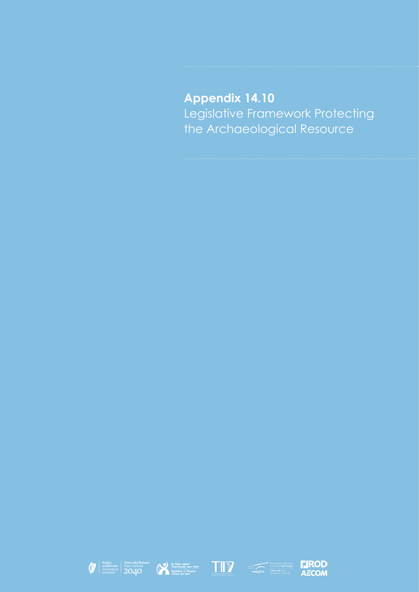**Appendix 14.10** Legislative Framework Protecting the Archaeological Resource









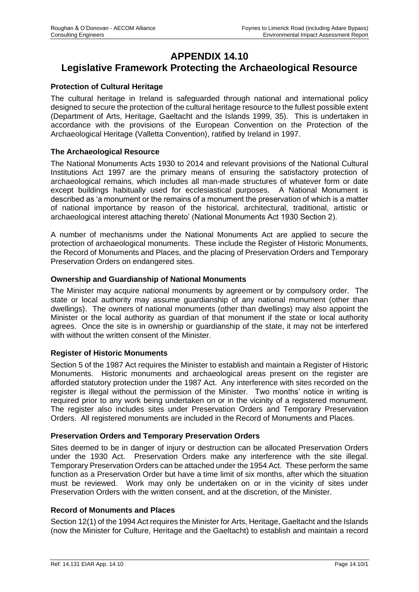# **APPENDIX 14.10 Legislative Framework Protecting the Archaeological Resource**

## **Protection of Cultural Heritage**

The cultural heritage in Ireland is safeguarded through national and international policy designed to secure the protection of the cultural heritage resource to the fullest possible extent (Department of Arts, Heritage, Gaeltacht and the Islands 1999, 35). This is undertaken in accordance with the provisions of the European Convention on the Protection of the Archaeological Heritage (Valletta Convention), ratified by Ireland in 1997.

#### **The Archaeological Resource**

The National Monuments Acts 1930 to 2014 and relevant provisions of the National Cultural Institutions Act 1997 are the primary means of ensuring the satisfactory protection of archaeological remains, which includes all man-made structures of whatever form or date except buildings habitually used for ecclesiastical purposes. A National Monument is described as 'a monument or the remains of a monument the preservation of which is a matter of national importance by reason of the historical, architectural, traditional, artistic or archaeological interest attaching thereto' (National Monuments Act 1930 Section 2).

A number of mechanisms under the National Monuments Act are applied to secure the protection of archaeological monuments. These include the Register of Historic Monuments, the Record of Monuments and Places, and the placing of Preservation Orders and Temporary Preservation Orders on endangered sites.

## **Ownership and Guardianship of National Monuments**

The Minister may acquire national monuments by agreement or by compulsory order. The state or local authority may assume guardianship of any national monument (other than dwellings). The owners of national monuments (other than dwellings) may also appoint the Minister or the local authority as guardian of that monument if the state or local authority agrees. Once the site is in ownership or guardianship of the state, it may not be interfered with without the written consent of the Minister.

## **Register of Historic Monuments**

Section 5 of the 1987 Act requires the Minister to establish and maintain a Register of Historic Monuments. Historic monuments and archaeological areas present on the register are afforded statutory protection under the 1987 Act. Any interference with sites recorded on the register is illegal without the permission of the Minister. Two months' notice in writing is required prior to any work being undertaken on or in the vicinity of a registered monument. The register also includes sites under Preservation Orders and Temporary Preservation Orders. All registered monuments are included in the Record of Monuments and Places.

## **Preservation Orders and Temporary Preservation Orders**

Sites deemed to be in danger of injury or destruction can be allocated Preservation Orders under the 1930 Act. Preservation Orders make any interference with the site illegal. Temporary Preservation Orders can be attached under the 1954 Act. These perform the same function as a Preservation Order but have a time limit of six months, after which the situation must be reviewed. Work may only be undertaken on or in the vicinity of sites under Preservation Orders with the written consent, and at the discretion, of the Minister.

## **Record of Monuments and Places**

Section 12(1) of the 1994 Act requires the Minister for Arts, Heritage, Gaeltacht and the Islands (now the Minister for Culture, Heritage and the Gaeltacht) to establish and maintain a record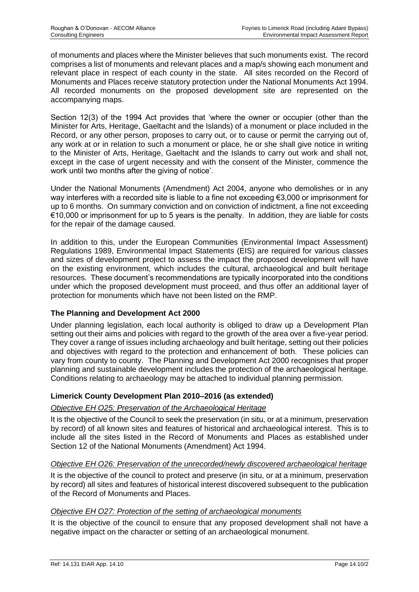of monuments and places where the Minister believes that such monuments exist. The record comprises a list of monuments and relevant places and a map/s showing each monument and relevant place in respect of each county in the state. All sites recorded on the Record of Monuments and Places receive statutory protection under the National Monuments Act 1994. All recorded monuments on the proposed development site are represented on the accompanying maps.

Section 12(3) of the 1994 Act provides that 'where the owner or occupier (other than the Minister for Arts, Heritage, Gaeltacht and the Islands) of a monument or place included in the Record, or any other person, proposes to carry out, or to cause or permit the carrying out of, any work at or in relation to such a monument or place, he or she shall give notice in writing to the Minister of Arts, Heritage, Gaeltacht and the Islands to carry out work and shall not, except in the case of urgent necessity and with the consent of the Minister, commence the work until two months after the giving of notice'.

Under the National Monuments (Amendment) Act 2004, anyone who demolishes or in any way interferes with a recorded site is liable to a fine not exceeding €3,000 or imprisonment for up to 6 months. On summary conviction and on conviction of indictment, a fine not exceeding €10,000 or imprisonment for up to 5 years is the penalty. In addition, they are liable for costs for the repair of the damage caused.

In addition to this, under the European Communities (Environmental Impact Assessment) Regulations 1989, Environmental Impact Statements (EIS) are required for various classes and sizes of development project to assess the impact the proposed development will have on the existing environment, which includes the cultural, archaeological and built heritage resources. These document's recommendations are typically incorporated into the conditions under which the proposed development must proceed, and thus offer an additional layer of protection for monuments which have not been listed on the RMP.

# **The Planning and Development Act 2000**

Under planning legislation, each local authority is obliged to draw up a Development Plan setting out their aims and policies with regard to the growth of the area over a five-year period. They cover a range of issues including archaeology and built heritage, setting out their policies and objectives with regard to the protection and enhancement of both. These policies can vary from county to county. The Planning and Development Act 2000 recognises that proper planning and sustainable development includes the protection of the archaeological heritage. Conditions relating to archaeology may be attached to individual planning permission.

# **Limerick County Development Plan 2010–2016 (as extended)**

## *Objective EH O25: Preservation of the Archaeological Heritage*

It is the objective of the Council to seek the preservation (in situ, or at a minimum, preservation by record) of all known sites and features of historical and archaeological interest. This is to include all the sites listed in the Record of Monuments and Places as established under Section 12 of the National Monuments (Amendment) Act 1994.

## *Objective EH O26: Preservation of the unrecorded/newly discovered archaeological heritage*

It is the objective of the council to protect and preserve (in situ, or at a minimum, preservation by record) all sites and features of historical interest discovered subsequent to the publication of the Record of Monuments and Places.

## *Objective EH O27: Protection of the setting of archaeological monuments*

It is the objective of the council to ensure that any proposed development shall not have a negative impact on the character or setting of an archaeological monument.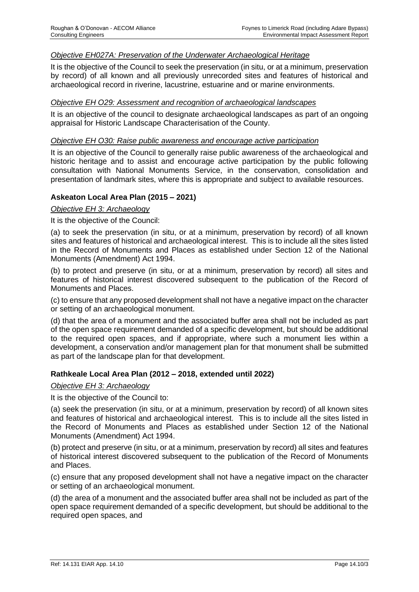## *Objective EH027A: Preservation of the Underwater Archaeological Heritage*

It is the objective of the Council to seek the preservation (in situ, or at a minimum, preservation by record) of all known and all previously unrecorded sites and features of historical and archaeological record in riverine, lacustrine, estuarine and or marine environments.

#### *Objective EH O29: Assessment and recognition of archaeological landscapes*

It is an objective of the council to designate archaeological landscapes as part of an ongoing appraisal for Historic Landscape Characterisation of the County.

#### *Objective EH O30: Raise public awareness and encourage active participation*

It is an objective of the Council to generally raise public awareness of the archaeological and historic heritage and to assist and encourage active participation by the public following consultation with National Monuments Service, in the conservation, consolidation and presentation of landmark sites, where this is appropriate and subject to available resources.

#### **Askeaton Local Area Plan (2015 – 2021)**

*Objective EH 3: Archaeology*

It is the objective of the Council:

(a) to seek the preservation (in situ, or at a minimum, preservation by record) of all known sites and features of historical and archaeological interest. This is to include all the sites listed in the Record of Monuments and Places as established under Section 12 of the National Monuments (Amendment) Act 1994.

(b) to protect and preserve (in situ, or at a minimum, preservation by record) all sites and features of historical interest discovered subsequent to the publication of the Record of Monuments and Places.

(c) to ensure that any proposed development shall not have a negative impact on the character or setting of an archaeological monument.

(d) that the area of a monument and the associated buffer area shall not be included as part of the open space requirement demanded of a specific development, but should be additional to the required open spaces, and if appropriate, where such a monument lies within a development, a conservation and/or management plan for that monument shall be submitted as part of the landscape plan for that development.

## **Rathkeale Local Area Plan (2012 – 2018, extended until 2022)**

#### *Objective EH 3: Archaeology*

It is the objective of the Council to:

(a) seek the preservation (in situ, or at a minimum, preservation by record) of all known sites and features of historical and archaeological interest. This is to include all the sites listed in the Record of Monuments and Places as established under Section 12 of the National Monuments (Amendment) Act 1994.

(b) protect and preserve (in situ, or at a minimum, preservation by record) all sites and features of historical interest discovered subsequent to the publication of the Record of Monuments and Places.

(c) ensure that any proposed development shall not have a negative impact on the character or setting of an archaeological monument.

(d) the area of a monument and the associated buffer area shall not be included as part of the open space requirement demanded of a specific development, but should be additional to the required open spaces, and